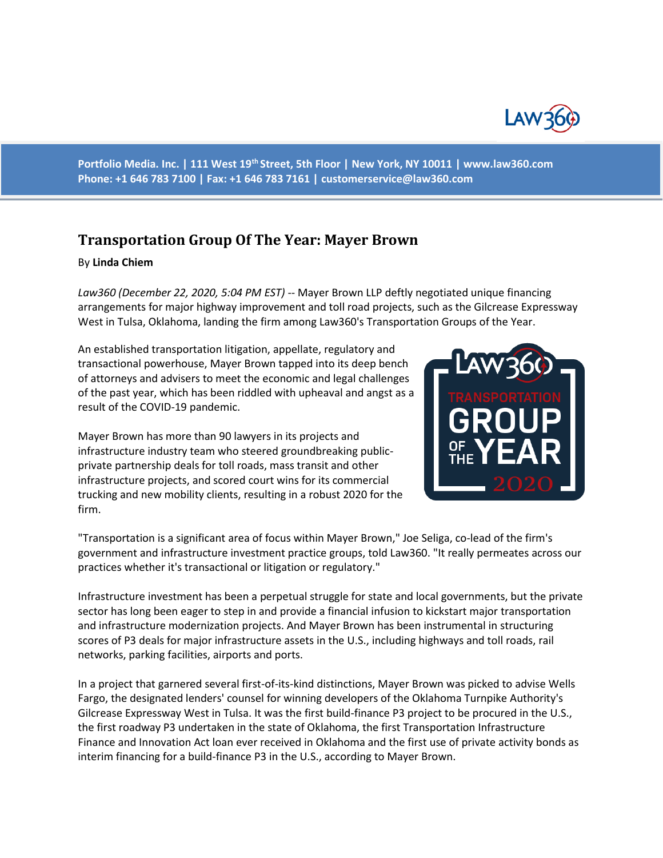

**Portfolio Media. Inc. | 111 West 19th Street, 5th Floor | New York, NY 10011 | www.law360.com Phone: +1 646 783 7100 | Fax: +1 646 783 7161 | customerservice@law360.com**

## **Transportation Group Of The Year: Mayer Brown**

## By **Linda Chiem**

*Law360 (December 22, 2020, 5:04 PM EST)* -- Mayer Brown LLP deftly negotiated unique financing arrangements for major highway improvement and toll road projects, such as the Gilcrease Expressway West in Tulsa, Oklahoma, landing the firm among Law360's Transportation Groups of the Year.

An established transportation litigation, appellate, regulatory and transactional powerhouse, Mayer Brown tapped into its deep bench of attorneys and advisers to meet the economic and legal challenges of the past year, which has been riddled with upheaval and angst as a result of the COVID-19 pandemic.

Mayer Brown has more than 90 lawyers in its projects and infrastructure industry team who steered groundbreaking publicprivate partnership deals for toll roads, mass transit and other infrastructure projects, and scored court wins for its commercial trucking and new mobility clients, resulting in a robust 2020 for the firm.



"Transportation is a significant area of focus within Mayer Brown," Joe Seliga, co-lead of the firm's government and infrastructure investment practice groups, told Law360. "It really permeates across our practices whether it's transactional or litigation or regulatory."

Infrastructure investment has been a perpetual struggle for state and local governments, but the private sector has long been eager to step in and provide a financial infusion to kickstart major transportation and infrastructure modernization projects. And Mayer Brown has been instrumental in structuring scores of P3 deals for major infrastructure assets in the U.S., including highways and toll roads, rail networks, parking facilities, airports and ports.

In a project that garnered several first-of-its-kind distinctions, Mayer Brown was picked to advise Wells Fargo, the designated lenders' counsel for winning developers of the Oklahoma Turnpike Authority's Gilcrease Expressway West in Tulsa. It was the first build-finance P3 project to be procured in the U.S., the first roadway P3 undertaken in the state of Oklahoma, the first Transportation Infrastructure Finance and Innovation Act loan ever received in Oklahoma and the first use of private activity bonds as interim financing for a build-finance P3 in the U.S., according to Mayer Brown.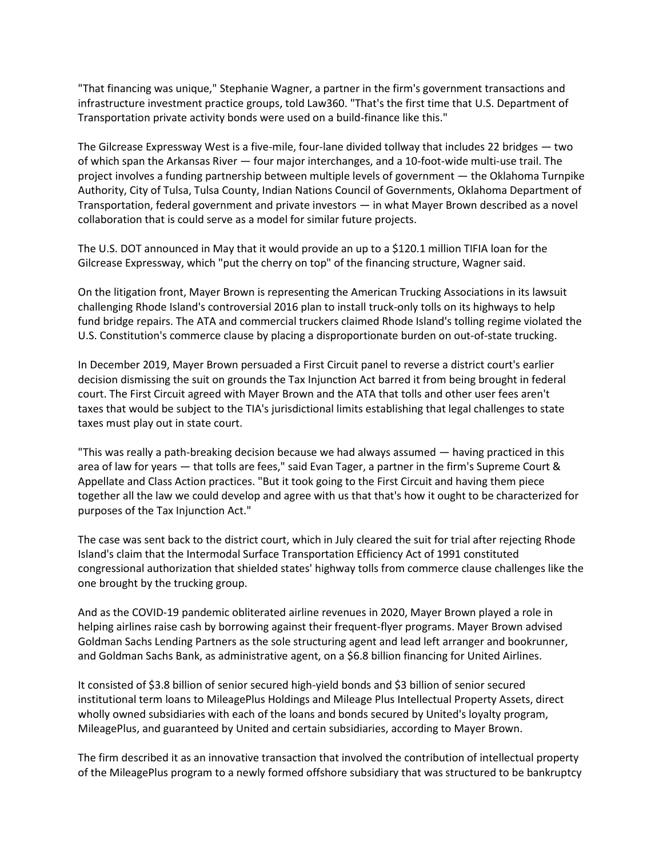"That financing was unique," Stephanie Wagner, a partner in the firm's government transactions and infrastructure investment practice groups, told Law360. "That's the first time that U.S. Department of Transportation private activity bonds were used on a build-finance like this."

The Gilcrease Expressway West is a five-mile, four-lane divided tollway that includes 22 bridges — two of which span the Arkansas River — four major interchanges, and a 10-foot-wide multi-use trail. The project involves a funding partnership between multiple levels of government — the Oklahoma Turnpike Authority, City of Tulsa, Tulsa County, Indian Nations Council of Governments, Oklahoma Department of Transportation, federal government and private investors — in what Mayer Brown described as a novel collaboration that is could serve as a model for similar future projects.

The U.S. DOT announced in May that it would provide an up to a \$120.1 million TIFIA loan for the Gilcrease Expressway, which "put the cherry on top" of the financing structure, Wagner said.

On the litigation front, Mayer Brown is representing the American Trucking Associations in its lawsuit challenging Rhode Island's controversial 2016 plan to install truck-only tolls on its highways to help fund bridge repairs. The ATA and commercial truckers claimed Rhode Island's tolling regime violated the U.S. Constitution's commerce clause by placing a disproportionate burden on out-of-state trucking.

In December 2019, Mayer Brown persuaded a First Circuit panel to reverse a district court's earlier decision dismissing the suit on grounds the Tax Injunction Act barred it from being brought in federal court. The First Circuit agreed with Mayer Brown and the ATA that tolls and other user fees aren't taxes that would be subject to the TIA's jurisdictional limits establishing that legal challenges to state taxes must play out in state court.

"This was really a path-breaking decision because we had always assumed — having practiced in this area of law for years — that tolls are fees," said Evan Tager, a partner in the firm's Supreme Court & Appellate and Class Action practices. "But it took going to the First Circuit and having them piece together all the law we could develop and agree with us that that's how it ought to be characterized for purposes of the Tax Injunction Act."

The case was sent back to the district court, which in July cleared the suit for trial after rejecting Rhode Island's claim that the Intermodal Surface Transportation Efficiency Act of 1991 constituted congressional authorization that shielded states' highway tolls from commerce clause challenges like the one brought by the trucking group.

And as the COVID-19 pandemic obliterated airline revenues in 2020, Mayer Brown played a role in helping airlines raise cash by borrowing against their frequent-flyer programs. Mayer Brown advised Goldman Sachs Lending Partners as the sole structuring agent and lead left arranger and bookrunner, and Goldman Sachs Bank, as administrative agent, on a \$6.8 billion financing for United Airlines.

It consisted of \$3.8 billion of senior secured high-yield bonds and \$3 billion of senior secured institutional term loans to MileagePlus Holdings and Mileage Plus Intellectual Property Assets, direct wholly owned subsidiaries with each of the loans and bonds secured by United's loyalty program, MileagePlus, and guaranteed by United and certain subsidiaries, according to Mayer Brown.

The firm described it as an innovative transaction that involved the contribution of intellectual property of the MileagePlus program to a newly formed offshore subsidiary that was structured to be bankruptcy